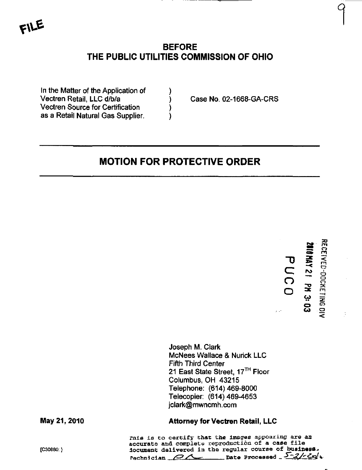# BEFORE THE PUBLIC UTILITIES COMMISSION OF OHIO

In the Matter of the Application of Vectren Retail, LLC d/b/a Vectren Source for Certification ) as a Retail Natural Gas Supplier.

Case No. 02-1668-GA-CRS

# MOTION FOR PROTECTIVE ORDER

"D C  $\overline{Q}$ o «  $\blacksquare$ 3a» - < <u>Z</u> دیه<br>Co **RECEI** ED-DOCKET  $\Xi$ 

 $\ddot{\phantom{0}}$ 

Joseph M. Clark McNees Wallace & Nurick LLC Fifth Third Center 21 East State Street, 17<sup>TH</sup> Floor Columbus, OH 43215 Telephone: (614)469-8000 Telecopier: (614)469-4653 [jclark@mwncmh.com](mailto:jclark@mwncmh.com) 

#### May 21, 2010 Attorney for Vectren Retail, LLC

finis is to certify that the images appoaring are an accurate and complete reproduction of a case file {C30880;} document delivered in the regular course of business. rechnician  $\alpha$  is Date Processed  $\sqrt{2}/\sqrt{9}$ .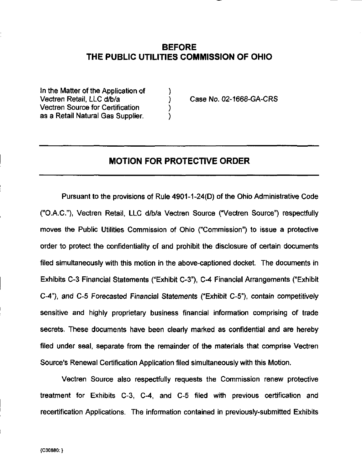## BEFORE THE PUBLIC UTILITIES COMMISSION OF OHIO

In the Matter of the Application of  $\qquad \qquad$  ) Vectren Retail, LLC d/b/a ) Case No. 02-1668-GA-CRS Vectren Source for Certification ) as a Retail Natural Gas Supplier.

#### MOTION FOR PROTECTIVE ORDER

Pursuant to the provisions of Rule 4901-1-24(0) of the Ohio Administrative Code ("O.A.C"), Vectren Retail, LLC d/b/a Vectren Source ("Vectren Source") respectfully moves the Public Utilities Commission of Ohio ("Commission") to issue a protective order to protect the confidentiality of and prohibit the disclosure of certain documents filed simultaneously with this motion in the above-captioned docket. The documents in Exhibits C-3 Financial Statements ("Exhibit C-3"), C-4 Financial Arrangements ("Exhibit C-4"), and C-5 Forecasted Financial Statements ("Exhibit C-5"), contain competitively sensitive and highly proprietary business financial information comprising of trade secrets. These documents have been cleariy marked as confidential and are hereby filed under seal, separate from the remainder of the materials that comprise Vectren Source's Renewal Certification Application filed simultaneously with this Motion.

Vectren Source also respectfully requests the Commission renew protective treatment for Exhibits C-3, C-4, and C-5 filed with previous certification and recertification Applications. The information contained in previously-submitted Exhibits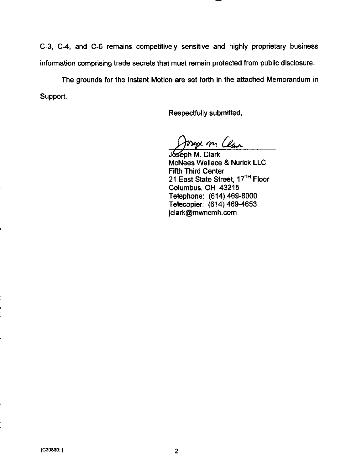C-3, C-4, and C-5 remains competitively sensitive and highly proprietary business information comprising trade secrets that must remain protected from public disclosure.

The grounds for the instant Motion are set forth in the attached Memorandum in Support.

Respectfully submitted,

osept m Clan

Joseph M. Clark McNees Wallace & Nurick LLC Fifth Third Center 21 East State Street, 17<sup>TH</sup> Floor Columbus, OH 43215 Telephone: (614) 469-8000 Telecopier: (614)469-4653 [jclark@mwncmh.com](mailto:jclark@mwncmh.com)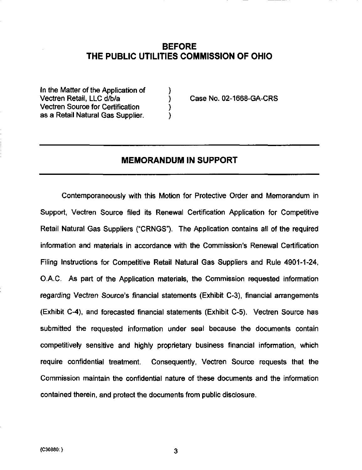## BEFORE THE PUBLIC UTILITIES COMMISSION OF OHIO

In the Matter of the Application of  $\hspace{1.5cm}$ Vectren Retail. LLC d/b/a ) Case No. 02-1668-GA-CRS Vectren Source for Certification (1) as a Retail Natural Gas Supplier.

#### MEMORANDUM IN SUPPORT

Contemporaneously with this Motion for Protective Order and Memorandum in Support, Vectren Source filed its Renewal Certification Application for Competitive Retail Natural Gas Suppliers ("CRNGS"). The Application contains all of the required information and materials in accordance with the Commission's Renewal Certification Filing Instructions for Competitive Retail Natural Gas Suppliers and Rule 4901-1-24, O.A.C. As part of the Application materials, the Commission requested information regarding Vectren Source's financial statements (Exhibit C-3), financial arrangements (Exhibit C-4), and forecasted financial statements (Exhibit C-5). Vectren Source has submitted the requested information under seal because the documents contain competitively sensitive and highly proprietary business financial information, which require confidential treatment. Consequently, Vectren Source requests that the Commission maintain the confidential nature of these documents and the information contained therein, and protect the documents from public disclosure.

3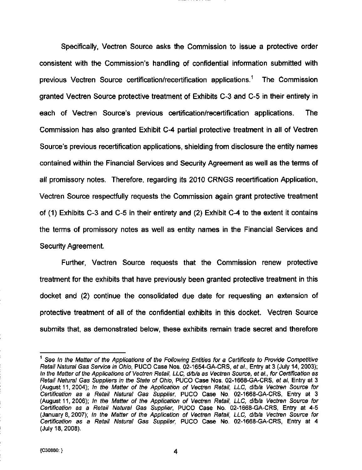Specifically, Vectren Source asks the Commission to issue a protective order consistent with the Commission's handling of confidential information submitted with previous Vectren Source certification/recertification applications.<sup>1</sup> The Commission granted Vectren Source protective treatment of Exhibits C-3 and C-5 in their entirety in each of Vectren Source's previous certification/recertification applications. The Commission has also granted Exhibit C-4 partial protective treatment in all of Vectren Source's previous recertification applications, shielding from disclosure the entity names contained within the Financial Services and Security Agreement as well as the terms of all promissory notes. Therefore, regarding its 2010 CRNGS recertification Appiicafion, Vectren Source respectfully requests the Commission again grant protective treatment of (1) Exhibits C-3 and C-5 in their entirety and (2) Exhibit C-4 to the extent it contains the terms of promissory notes as well as entity names in the Financial Services and Security Agreement.

Further, Vectren Source requests that the Commission renew protective treatment for the exhibits that have previously been granted protective treatment in this docket and (2) continue the consolidated due date for requesting an extension of protective treatment of all of the confidential exhibits in this docket. Vectren Source submits that, as demonstrated below, these exhibits remain trade secret and therefore

4

<sup>&</sup>lt;sup>1</sup> See In the Matter of the Applications of the Following Entities for a Certificate to Provide Competitive Retail Natural Gas Service in Ohio, PUCO Case Nos. 02-1654-GA-CRS, et al., Entry at 3 (July 14, 2003); In the Matter of the Applications of Vectren Retail, LLC, d/b/a as Vectren Source, et al., for Certification as Retail Natural Gas Suppliers in the State of Ohio, PUCO Case Nos. 02-1668-GA-CRS, et al, Entry at 3 (August 11, 2004); In the Matter of the Application of Vectren Retail, LLC, d/b/a Vectren Source for Certification as a Retail Natural Gas Supplier, PUCO Case No. 02-1668-GA-CRS, Entry at 3 (August 11, 2006); In the Matter of the Application of Vectren Retail, LLC, d/b/a Vectren Source for Certification as a Retail Natural Gas Supplier, PUCO Case No. 02-1668-GA-CRS, Entry at 4-5 (January 8, 2007); In the Matter of the Application of Vectren Retail, LLC, d/b/a Vectren Source for Certification as a Retail Natural Gas Supplier, PUCO Case No. 02-1668-GA-CRS, Entry at 4 (July 18, 2008).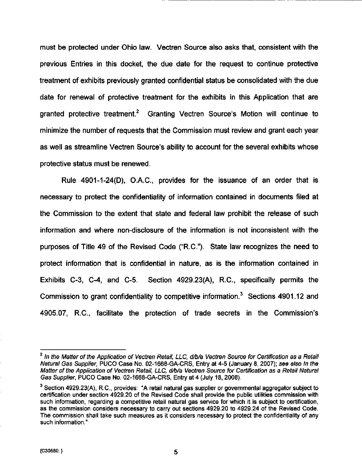must be protected under Ohio law. Vectren Source also asks that, consistent with the previous Entries in this docket, the due date for the request to continue protective treatment of exhibits previously granted confidential status be consolidated with the due date for renewal of protecfive treatment for the exhibits in this Application that are granted protective treatment.<sup>2</sup> Granting Vectren Source's Motion will continue to minimize the number of requests that the Commission must review and grant each year as well as streamline Vectren Source's ability to account for the several exhibits whose protective status must be renewed.

Rule 4901-1-24(0), O.A.C, provides for the issuance of an order that is necessary to protect the confidentiality of information contained in documents filed at the Commission to the extent that state and federal law prohibit the release of such information and where non-disclosure of the infomiation is not inconsistent with the purposes of Title 49 of the Revised Code ("R.C"). State law recognizes the need to protect information that is confidential in nature, as is the infonnafion contained in Exhibits C-3, C-4, and C-5. Section 4929.23(A), R.C, specifically permits the Commission to grant confidentiality to competitive information. $3$  Sections 4901.12 and 4905.07, R.C, facilitate the protection of trade secrets in the Commission's

5

 $2$  In the Matter of the Application of Vectren Retail, LLC, d/b/a Vectren Source for Certification as a Retail Natural Gas Supplier, PUCO Case No. 02-1668-GA-CRS, Entry at 4-5 (January 8, 2007); see also In the Matter of the Application of Vectren Retail, LLC, d/b/a Vectren Source for Certification as a Retail Natural Gas Supplier, PUCO Case No. 02-1668-GA-CRS, Entry at 4 (July 18, 2008).

<sup>&</sup>lt;sup>3</sup> Section 4929.23(A), R.C., provides: "A retail natural gas supplier or governmental aggregator subject to certification under section 4929.20 of the Revised Code shall provide the public utilities commission with such information, regarding a competitive retail natural gas service for which it is subject to certification, as the commission considers necessary to carry out sections 4929.20 to 4929.24 of the Revised Code. The commission shall take such measures as it considers necessary to protect the confidentiality of any such information."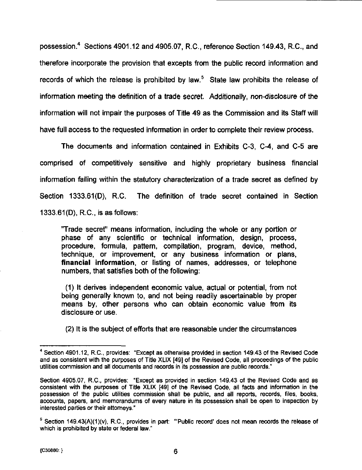possession. $<sup>4</sup>$  Sections 4901.12 and 4905.07, R.C., reference Section 149.43, R.C., and</sup> therefore incorporate the provision that excepts from the public record information and records of which the release is prohibited by law. $<sup>5</sup>$  State law prohibits the release of</sup> information meeting the definition of a trade secret. Additionally, non-disclosure of the information will not impair the purposes of Title 49 as the Commission and its Staff will have full access to the requested information in order to complete their review process.

The documents and information contained in Exhibits C-3, C-4, and C-5 are comprised of competifively sensitive and highly proprietary business financial information falling within the statutory characterization of a trade secret as defined by Section 1333.61(D), R.C The definition of trade secret contained in Section 1333.61(D), R.C, is as follows:

"Trade secret" means information, including the whole or any portion or phase of any scientific or technical information, design, process, procedure, formula, pattern, compilation, program, device, method, technique, or improvement, or any business information or plans, financial information, or listing of names, addresses, or telephone numbers, that satisfies both of the following:

(1) It derives independent economic value, actual or potential, from not being generally known to, and not being readily ascertainable by proper means by, other persons who can obtain economic value from its disclosure or use.

(2) It is the subject of efforts that are reasonable under the circumstances

<sup>&</sup>lt;sup>4</sup> Section 4901.12, R.C., provides: "Except as otherwise provided in section 149.43 of the Revised Code and as consistent with the purposes of Title XLIX [49] of the Revised Code, all proceedings of the public utilities commission and all documents and records in its possession are public records."

Section 4905.07, R.C, provides: "Except as provided in section 149.43 of the Revised Code and as consistent with the purposes of Title XLIX [49] of the Revised Code, all facts and information in the possession of the public utilities commission shall be public, and all reports, records, files, books, accounts, papers, and memorandums of every nature in its possession shall be open to inspection by interested parties or their attorneys."

 $<sup>5</sup>$  Section 149.43(A)(1)(v), R.C., provides in part: "'Public record' does not mean records the release of</sup> which is prohibited by state or federal law."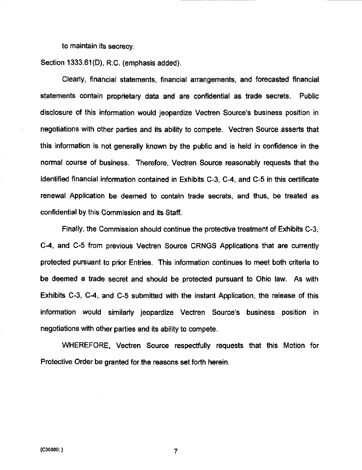to maintain its secrecy.

Section 1333.61(D), R.C. (emphasis added).

Clearly, financial statements, financial arrangements, and forecasted financial statements contain proprietary data and are confidential as trade secrets. Public disclosure of this information would jeopardize Vectren Source's business position in negofiations with other parties and its ability to compete. Vectren Source asserts that this information is not generally known by the public and is held in confidence in the normal course of business. Therefore, Vectren Source reasonably requests that the identified financial information contained in Exhibits C-3, C-4, and C-5 in this certificate renewal Application be deemed to contain trade secrets, and thus, be treated as confidential by this Commission and its Staff.

Finally, the Commission should confinue the protective treatment of Exhibits C-3, C-4, and C-5 from previous Vectren Source CRNGS Applications that are currently protected pursuant to prior Entries. This information continues to meet both criteria to be deemed a trade secret and should be protected pursuant to Ohio law. As with Exhibits C-3, C-4, and C-5 submitted with the instant Application, the release of this information would similarly jeopardize Vectren Source's business position in negotiations with other parties and its ability to compete.

WHEREFORE, Vectren Source respectfully requests that this Motion for Protective Order be granted for the reasons set forth herein.

 $\overline{7}$